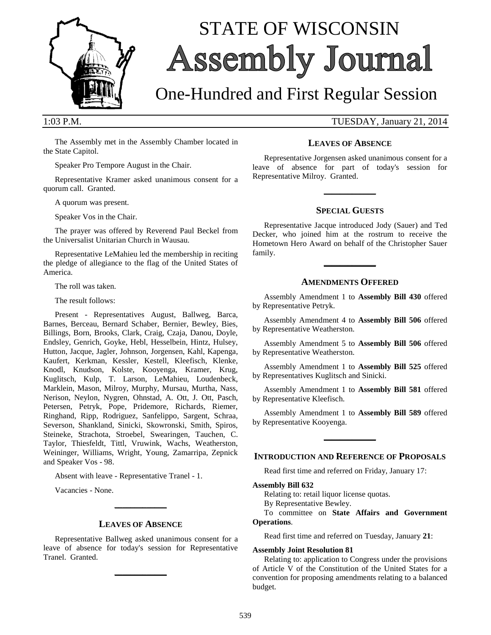

# STATE OF WISCONSIN Assembly Journal

## One-Hundred and First Regular Session

1:03 P.M. TUESDAY, January 21, 2014

The Assembly met in the Assembly Chamber located in the State Capitol.

Speaker Pro Tempore August in the Chair.

Representative Kramer asked unanimous consent for a quorum call. Granted.

A quorum was present.

Speaker Vos in the Chair.

The prayer was offered by Reverend Paul Beckel from the Universalist Unitarian Church in Wausau.

Representative LeMahieu led the membership in reciting the pledge of allegiance to the flag of the United States of America.

The roll was taken.

The result follows:

Present - Representatives August, Ballweg, Barca, Barnes, Berceau, Bernard Schaber, Bernier, Bewley, Bies, Billings, Born, Brooks, Clark, Craig, Czaja, Danou, Doyle, Endsley, Genrich, Goyke, Hebl, Hesselbein, Hintz, Hulsey, Hutton, Jacque, Jagler, Johnson, Jorgensen, Kahl, Kapenga, Kaufert, Kerkman, Kessler, Kestell, Kleefisch, Klenke, Knodl, Knudson, Kolste, Kooyenga, Kramer, Krug, Kuglitsch, Kulp, T. Larson, LeMahieu, Loudenbeck, Marklein, Mason, Milroy, Murphy, Mursau, Murtha, Nass, Nerison, Neylon, Nygren, Ohnstad, A. Ott, J. Ott, Pasch, Petersen, Petryk, Pope, Pridemore, Richards, Riemer, Ringhand, Ripp, Rodriguez, Sanfelippo, Sargent, Schraa, Severson, Shankland, Sinicki, Skowronski, Smith, Spiros, Steineke, Strachota, Stroebel, Swearingen, Tauchen, C. Taylor, Thiesfeldt, Tittl, Vruwink, Wachs, Weatherston, Weininger, Williams, Wright, Young, Zamarripa, Zepnick and Speaker Vos - 98.

Absent with leave - Representative Tranel - 1.

Vacancies - None.

#### **LEAVES OF ABSENCE**

**\_\_\_\_\_\_\_\_\_\_\_\_\_**

Representative Ballweg asked unanimous consent for a leave of absence for today's session for Representative Tranel. Granted.

**\_\_\_\_\_\_\_\_\_\_\_\_\_**

#### **LEAVES OF ABSENCE**

Representative Jorgensen asked unanimous consent for a leave of absence for part of today's session for Representative Milroy. Granted.

#### **SPECIAL GUESTS**

**\_\_\_\_\_\_\_\_\_\_\_\_\_**

Representative Jacque introduced Jody (Sauer) and Ted Decker, who joined him at the rostrum to receive the Hometown Hero Award on behalf of the Christopher Sauer family.

#### **AMENDMENTS OFFERED**

**\_\_\_\_\_\_\_\_\_\_\_\_\_**

Assembly Amendment 1 to **Assembly Bill 430** offered by Representative Petryk.

Assembly Amendment 4 to **Assembly Bill 506** offered by Representative Weatherston.

Assembly Amendment 5 to **Assembly Bill 506** offered by Representative Weatherston.

Assembly Amendment 1 to **Assembly Bill 525** offered by Representatives Kuglitsch and Sinicki.

Assembly Amendment 1 to **Assembly Bill 581** offered by Representative Kleefisch.

Assembly Amendment 1 to **Assembly Bill 589** offered by Representative Kooyenga.

#### **INTRODUCTION AND REFERENCE OF PROPOSALS**

**\_\_\_\_\_\_\_\_\_\_\_\_\_**

Read first time and referred on Friday, January 17:

#### **Assembly Bill 632**

Relating to: retail liquor license quotas.

By Representative Bewley.

#### To committee on **State Affairs and Government Operations**.

Read first time and referred on Tuesday, January **21**:

#### **Assembly Joint Resolution 81**

Relating to: application to Congress under the provisions of Article V of the Constitution of the United States for a convention for proposing amendments relating to a balanced budget.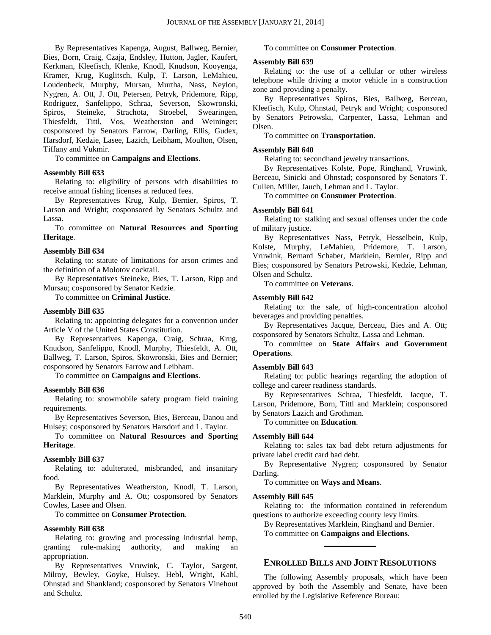By Representatives Kapenga, August, Ballweg, Bernier, Bies, Born, Craig, Czaja, Endsley, Hutton, Jagler, Kaufert, Kerkman, Kleefisch, Klenke, Knodl, Knudson, Kooyenga, Kramer, Krug, Kuglitsch, Kulp, T. Larson, LeMahieu, Loudenbeck, Murphy, Mursau, Murtha, Nass, Neylon, Nygren, A. Ott, J. Ott, Petersen, Petryk, Pridemore, Ripp, Rodriguez, Sanfelippo, Schraa, Severson, Skowronski, Spiros, Steineke, Strachota, Stroebel, Swearingen, Thiesfeldt, Tittl, Vos, Weatherston and Weininger; cosponsored by Senators Farrow, Darling, Ellis, Gudex, Harsdorf, Kedzie, Lasee, Lazich, Leibham, Moulton, Olsen, Tiffany and Vukmir.

To committee on **Campaigns and Elections**.

#### **Assembly Bill 633**

Relating to: eligibility of persons with disabilities to receive annual fishing licenses at reduced fees.

By Representatives Krug, Kulp, Bernier, Spiros, T. Larson and Wright; cosponsored by Senators Schultz and Lassa.

To committee on **Natural Resources and Sporting Heritage**.

#### **Assembly Bill 634**

Relating to: statute of limitations for arson crimes and the definition of a Molotov cocktail.

By Representatives Steineke, Bies, T. Larson, Ripp and Mursau; cosponsored by Senator Kedzie.

To committee on **Criminal Justice**.

#### **Assembly Bill 635**

Relating to: appointing delegates for a convention under Article V of the United States Constitution.

By Representatives Kapenga, Craig, Schraa, Krug, Knudson, Sanfelippo, Knodl, Murphy, Thiesfeldt, A. Ott, Ballweg, T. Larson, Spiros, Skowronski, Bies and Bernier; cosponsored by Senators Farrow and Leibham.

To committee on **Campaigns and Elections**.

#### **Assembly Bill 636**

Relating to: snowmobile safety program field training requirements.

By Representatives Severson, Bies, Berceau, Danou and Hulsey; cosponsored by Senators Harsdorf and L. Taylor.

To committee on **Natural Resources and Sporting Heritage**.

#### **Assembly Bill 637**

Relating to: adulterated, misbranded, and insanitary food.

By Representatives Weatherston, Knodl, T. Larson, Marklein, Murphy and A. Ott; cosponsored by Senators Cowles, Lasee and Olsen.

To committee on **Consumer Protection**.

#### **Assembly Bill 638**

Relating to: growing and processing industrial hemp, granting rule-making authority, and making an appropriation.

By Representatives Vruwink, C. Taylor, Sargent, Milroy, Bewley, Goyke, Hulsey, Hebl, Wright, Kahl, Ohnstad and Shankland; cosponsored by Senators Vinehout and Schultz.

#### To committee on **Consumer Protection**.

#### **Assembly Bill 639**

Relating to: the use of a cellular or other wireless telephone while driving a motor vehicle in a construction zone and providing a penalty.

By Representatives Spiros, Bies, Ballweg, Berceau, Kleefisch, Kulp, Ohnstad, Petryk and Wright; cosponsored by Senators Petrowski, Carpenter, Lassa, Lehman and Olsen.

To committee on **Transportation**.

#### **Assembly Bill 640**

Relating to: secondhand jewelry transactions.

By Representatives Kolste, Pope, Ringhand, Vruwink, Berceau, Sinicki and Ohnstad; cosponsored by Senators T. Cullen, Miller, Jauch, Lehman and L. Taylor.

To committee on **Consumer Protection**.

#### **Assembly Bill 641**

Relating to: stalking and sexual offenses under the code of military justice.

By Representatives Nass, Petryk, Hesselbein, Kulp, Kolste, Murphy, LeMahieu, Pridemore, T. Larson, Vruwink, Bernard Schaber, Marklein, Bernier, Ripp and Bies; cosponsored by Senators Petrowski, Kedzie, Lehman, Olsen and Schultz.

To committee on **Veterans**.

#### **Assembly Bill 642**

Relating to: the sale, of high-concentration alcohol beverages and providing penalties.

By Representatives Jacque, Berceau, Bies and A. Ott; cosponsored by Senators Schultz, Lassa and Lehman.

To committee on **State Affairs and Government Operations**.

#### **Assembly Bill 643**

Relating to: public hearings regarding the adoption of college and career readiness standards.

By Representatives Schraa, Thiesfeldt, Jacque, T. Larson, Pridemore, Born, Tittl and Marklein; cosponsored by Senators Lazich and Grothman.

To committee on **Education**.

#### **Assembly Bill 644**

Relating to: sales tax bad debt return adjustments for private label credit card bad debt.

By Representative Nygren; cosponsored by Senator Darling.

To committee on **Ways and Means**.

#### **Assembly Bill 645**

Relating to: the information contained in referendum questions to authorize exceeding county levy limits.

By Representatives Marklein, Ringhand and Bernier. To committee on **Campaigns and Elections**. **\_\_\_\_\_\_\_\_\_\_\_\_\_**

#### **ENROLLED BILLS AND JOINT RESOLUTIONS**

The following Assembly proposals, which have been approved by both the Assembly and Senate, have been enrolled by the Legislative Reference Bureau: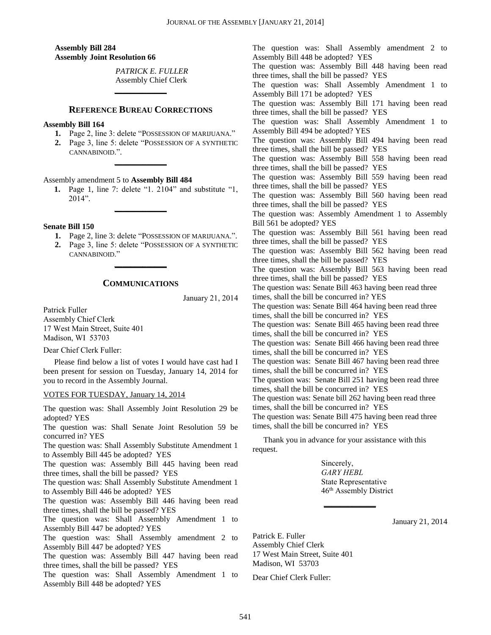**Assembly Bill 284 Assembly Joint Resolution 66**

> *PATRICK E. FULLER* Assembly Chief Clerk

#### **REFERENCE BUREAU CORRECTIONS**

**\_\_\_\_\_\_\_\_\_\_\_\_\_**

#### **Assembly Bill 164**

- **1.** Page 2, line 3: delete "POSSESSION OF MARIJUANA."
- **2.** Page 3, line 5: delete "POSSESSION OF A SYNTHETIC CANNABINOID.".

**\_\_\_\_\_\_\_\_\_\_\_\_\_**

#### Assembly amendment 5 to **Assembly Bill 484**

**1.** Page 1, line 7: delete "1. 2104" and substitute "1, 2014".

**\_\_\_\_\_\_\_\_\_\_\_\_\_**

#### **Senate Bill 150**

- **1.** Page 2, line 3: delete "POSSESSION OF MARIJUANA.".
- **2.** Page 3, line 5: delete "POSSESSION OF A SYNTHETIC CANNABINOID."

#### **COMMUNICATIONS**

**\_\_\_\_\_\_\_\_\_\_\_\_\_**

January 21, 2014

Patrick Fuller

Assembly Chief Clerk 17 West Main Street, Suite 401 Madison, WI 53703

Dear Chief Clerk Fuller:

Please find below a list of votes I would have cast had I been present for session on Tuesday, January 14, 2014 for you to record in the Assembly Journal.

#### VOTES FOR TUESDAY, January 14, 2014

The question was: Shall Assembly Joint Resolution 29 be adopted? YES

The question was: Shall Senate Joint Resolution 59 be concurred in? YES

The question was: Shall Assembly Substitute Amendment 1 to Assembly Bill 445 be adopted? YES

The question was: Assembly Bill 445 having been read three times, shall the bill be passed? YES

The question was: Shall Assembly Substitute Amendment 1 to Assembly Bill 446 be adopted? YES

The question was: Assembly Bill 446 having been read three times, shall the bill be passed? YES

The question was: Shall Assembly Amendment 1 to Assembly Bill 447 be adopted? YES

The question was: Shall Assembly amendment 2 to Assembly Bill 447 be adopted? YES

The question was: Assembly Bill 447 having been read three times, shall the bill be passed? YES

The question was: Shall Assembly Amendment 1 to Assembly Bill 448 be adopted? YES

The question was: Shall Assembly amendment 2 to Assembly Bill 448 be adopted? YES The question was: Assembly Bill 448 having been read three times, shall the bill be passed? YES The question was: Shall Assembly Amendment 1 to Assembly Bill 171 be adopted? YES The question was: Assembly Bill 171 having been read three times, shall the bill be passed? YES The question was: Shall Assembly Amendment 1 to Assembly Bill 494 be adopted? YES The question was: Assembly Bill 494 having been read three times, shall the bill be passed? YES The question was: Assembly Bill 558 having been read three times, shall the bill be passed? YES The question was: Assembly Bill 559 having been read three times, shall the bill be passed? YES The question was: Assembly Bill 560 having been read three times, shall the bill be passed? YES The question was: Assembly Amendment 1 to Assembly Bill 561 be adopted? YES The question was: Assembly Bill 561 having been read three times, shall the bill be passed? YES The question was: Assembly Bill 562 having been read three times, shall the bill be passed? YES The question was: Assembly Bill 563 having been read three times, shall the bill be passed? YES The question was: Senate Bill 463 having been read three times, shall the bill be concurred in? YES The question was: Senate Bill 464 having been read three times, shall the bill be concurred in? YES The question was: Senate Bill 465 having been read three times, shall the bill be concurred in? YES The question was: Senate Bill 466 having been read three times, shall the bill be concurred in? YES The question was: Senate Bill 467 having been read three times, shall the bill be concurred in? YES The question was: Senate Bill 251 having been read three times, shall the bill be concurred in? YES The question was: Senate bill 262 having been read three times, shall the bill be concurred in? YES The question was: Senate Bill 475 having been read three times, shall the bill be concurred in? YES

Thank you in advance for your assistance with this request.

> Sincerely, *GARY HEBL* State Representative 46th Assembly District

**\_\_\_\_\_\_\_\_\_\_\_\_\_**

January 21, 2014

Patrick E. Fuller Assembly Chief Clerk 17 West Main Street, Suite 401 Madison, WI 53703

Dear Chief Clerk Fuller: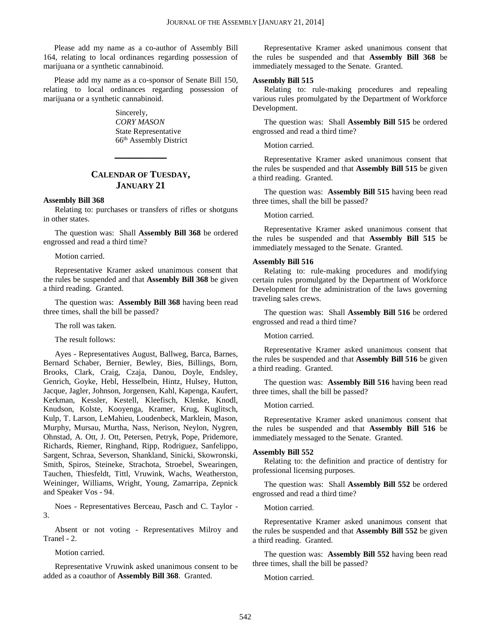Please add my name as a co-author of Assembly Bill 164, relating to local ordinances regarding possession of marijuana or a synthetic cannabinoid.

Please add my name as a co-sponsor of Senate Bill 150, relating to local ordinances regarding possession of marijuana or a synthetic cannabinoid.

> Sincerely, *CORY MASON* State Representative 66th Assembly District

### **CALENDAR OF TUESDAY, JANUARY 21**

**\_\_\_\_\_\_\_\_\_\_\_\_\_**

#### **Assembly Bill 368**

Relating to: purchases or transfers of rifles or shotguns in other states.

The question was: Shall **Assembly Bill 368** be ordered engrossed and read a third time?

Motion carried.

Representative Kramer asked unanimous consent that the rules be suspended and that **Assembly Bill 368** be given a third reading. Granted.

The question was: **Assembly Bill 368** having been read three times, shall the bill be passed?

The roll was taken.

The result follows:

Ayes - Representatives August, Ballweg, Barca, Barnes, Bernard Schaber, Bernier, Bewley, Bies, Billings, Born, Brooks, Clark, Craig, Czaja, Danou, Doyle, Endsley, Genrich, Goyke, Hebl, Hesselbein, Hintz, Hulsey, Hutton, Jacque, Jagler, Johnson, Jorgensen, Kahl, Kapenga, Kaufert, Kerkman, Kessler, Kestell, Kleefisch, Klenke, Knodl, Knudson, Kolste, Kooyenga, Kramer, Krug, Kuglitsch, Kulp, T. Larson, LeMahieu, Loudenbeck, Marklein, Mason, Murphy, Mursau, Murtha, Nass, Nerison, Neylon, Nygren, Ohnstad, A. Ott, J. Ott, Petersen, Petryk, Pope, Pridemore, Richards, Riemer, Ringhand, Ripp, Rodriguez, Sanfelippo, Sargent, Schraa, Severson, Shankland, Sinicki, Skowronski, Smith, Spiros, Steineke, Strachota, Stroebel, Swearingen, Tauchen, Thiesfeldt, Tittl, Vruwink, Wachs, Weatherston, Weininger, Williams, Wright, Young, Zamarripa, Zepnick and Speaker Vos - 94.

Noes - Representatives Berceau, Pasch and C. Taylor - 3.

Absent or not voting - Representatives Milroy and Tranel - 2.

Motion carried.

Representative Vruwink asked unanimous consent to be added as a coauthor of **Assembly Bill 368**. Granted.

Representative Kramer asked unanimous consent that the rules be suspended and that **Assembly Bill 368** be immediately messaged to the Senate. Granted.

#### **Assembly Bill 515**

Relating to: rule-making procedures and repealing various rules promulgated by the Department of Workforce Development.

The question was: Shall **Assembly Bill 515** be ordered engrossed and read a third time?

Motion carried.

Representative Kramer asked unanimous consent that the rules be suspended and that **Assembly Bill 515** be given a third reading. Granted.

The question was: **Assembly Bill 515** having been read three times, shall the bill be passed?

Motion carried.

Representative Kramer asked unanimous consent that the rules be suspended and that **Assembly Bill 515** be immediately messaged to the Senate. Granted.

#### **Assembly Bill 516**

Relating to: rule-making procedures and modifying certain rules promulgated by the Department of Workforce Development for the administration of the laws governing traveling sales crews.

The question was: Shall **Assembly Bill 516** be ordered engrossed and read a third time?

Motion carried.

Representative Kramer asked unanimous consent that the rules be suspended and that **Assembly Bill 516** be given a third reading. Granted.

The question was: **Assembly Bill 516** having been read three times, shall the bill be passed?

Motion carried.

Representative Kramer asked unanimous consent that the rules be suspended and that **Assembly Bill 516** be immediately messaged to the Senate. Granted.

#### **Assembly Bill 552**

Relating to: the definition and practice of dentistry for professional licensing purposes.

The question was: Shall **Assembly Bill 552** be ordered engrossed and read a third time?

Motion carried.

Representative Kramer asked unanimous consent that the rules be suspended and that **Assembly Bill 552** be given a third reading. Granted.

The question was: **Assembly Bill 552** having been read three times, shall the bill be passed?

Motion carried.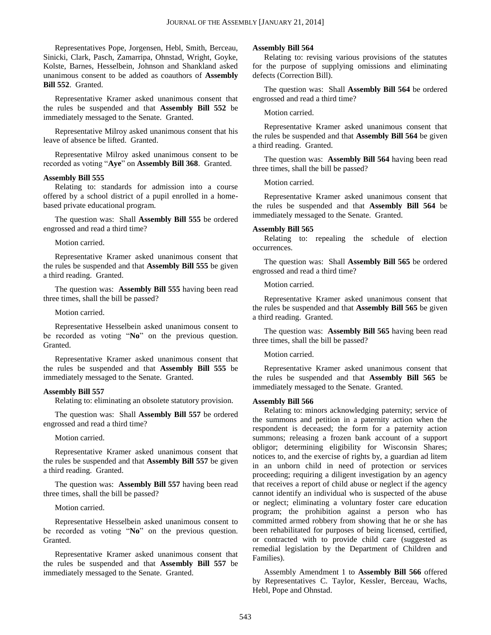Representatives Pope, Jorgensen, Hebl, Smith, Berceau, Sinicki, Clark, Pasch, Zamarripa, Ohnstad, Wright, Goyke, Kolste, Barnes, Hesselbein, Johnson and Shankland asked unanimous consent to be added as coauthors of **Assembly Bill 552**. Granted.

Representative Kramer asked unanimous consent that the rules be suspended and that **Assembly Bill 552** be immediately messaged to the Senate. Granted.

Representative Milroy asked unanimous consent that his leave of absence be lifted. Granted.

Representative Milroy asked unanimous consent to be recorded as voting "**Aye**" on **Assembly Bill 368**. Granted.

#### **Assembly Bill 555**

Relating to: standards for admission into a course offered by a school district of a pupil enrolled in a homebased private educational program.

The question was: Shall **Assembly Bill 555** be ordered engrossed and read a third time?

Motion carried.

Representative Kramer asked unanimous consent that the rules be suspended and that **Assembly Bill 555** be given a third reading. Granted.

The question was: **Assembly Bill 555** having been read three times, shall the bill be passed?

Motion carried.

Representative Hesselbein asked unanimous consent to be recorded as voting "**No**" on the previous question. Granted.

Representative Kramer asked unanimous consent that the rules be suspended and that **Assembly Bill 555** be immediately messaged to the Senate. Granted.

#### **Assembly Bill 557**

Relating to: eliminating an obsolete statutory provision.

The question was: Shall **Assembly Bill 557** be ordered engrossed and read a third time?

Motion carried.

Representative Kramer asked unanimous consent that the rules be suspended and that **Assembly Bill 557** be given a third reading. Granted.

The question was: **Assembly Bill 557** having been read three times, shall the bill be passed?

Motion carried.

Representative Hesselbein asked unanimous consent to be recorded as voting "**No**" on the previous question. Granted.

Representative Kramer asked unanimous consent that the rules be suspended and that **Assembly Bill 557** be immediately messaged to the Senate. Granted.

#### **Assembly Bill 564**

Relating to: revising various provisions of the statutes for the purpose of supplying omissions and eliminating defects (Correction Bill).

The question was: Shall **Assembly Bill 564** be ordered engrossed and read a third time?

Motion carried.

Representative Kramer asked unanimous consent that the rules be suspended and that **Assembly Bill 564** be given a third reading. Granted.

The question was: **Assembly Bill 564** having been read three times, shall the bill be passed?

Motion carried.

Representative Kramer asked unanimous consent that the rules be suspended and that **Assembly Bill 564** be immediately messaged to the Senate. Granted.

#### **Assembly Bill 565**

Relating to: repealing the schedule of election occurrences.

The question was: Shall **Assembly Bill 565** be ordered engrossed and read a third time?

Motion carried.

Representative Kramer asked unanimous consent that the rules be suspended and that **Assembly Bill 565** be given a third reading. Granted.

The question was: **Assembly Bill 565** having been read three times, shall the bill be passed?

#### Motion carried.

Representative Kramer asked unanimous consent that the rules be suspended and that **Assembly Bill 565** be immediately messaged to the Senate. Granted.

#### **Assembly Bill 566**

Relating to: minors acknowledging paternity; service of the summons and petition in a paternity action when the respondent is deceased; the form for a paternity action summons; releasing a frozen bank account of a support obligor; determining eligibility for Wisconsin Shares; notices to, and the exercise of rights by, a guardian ad litem in an unborn child in need of protection or services proceeding; requiring a diligent investigation by an agency that receives a report of child abuse or neglect if the agency cannot identify an individual who is suspected of the abuse or neglect; eliminating a voluntary foster care education program; the prohibition against a person who has committed armed robbery from showing that he or she has been rehabilitated for purposes of being licensed, certified, or contracted with to provide child care (suggested as remedial legislation by the Department of Children and Families).

Assembly Amendment 1 to **Assembly Bill 566** offered by Representatives C. Taylor, Kessler, Berceau, Wachs, Hebl, Pope and Ohnstad.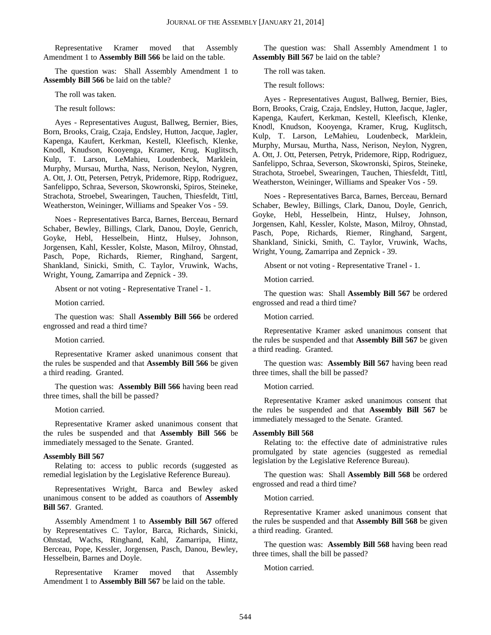Representative Kramer moved that Assembly Amendment 1 to **Assembly Bill 566** be laid on the table.

The question was: Shall Assembly Amendment 1 to **Assembly Bill 566** be laid on the table?

The roll was taken.

The result follows:

Ayes - Representatives August, Ballweg, Bernier, Bies, Born, Brooks, Craig, Czaja, Endsley, Hutton, Jacque, Jagler, Kapenga, Kaufert, Kerkman, Kestell, Kleefisch, Klenke, Knodl, Knudson, Kooyenga, Kramer, Krug, Kuglitsch, Kulp, T. Larson, LeMahieu, Loudenbeck, Marklein, Murphy, Mursau, Murtha, Nass, Nerison, Neylon, Nygren, A. Ott, J. Ott, Petersen, Petryk, Pridemore, Ripp, Rodriguez, Sanfelippo, Schraa, Severson, Skowronski, Spiros, Steineke, Strachota, Stroebel, Swearingen, Tauchen, Thiesfeldt, Tittl, Weatherston, Weininger, Williams and Speaker Vos - 59.

Noes - Representatives Barca, Barnes, Berceau, Bernard Schaber, Bewley, Billings, Clark, Danou, Doyle, Genrich, Goyke, Hebl, Hesselbein, Hintz, Hulsey, Johnson, Jorgensen, Kahl, Kessler, Kolste, Mason, Milroy, Ohnstad, Pasch, Pope, Richards, Riemer, Ringhand, Sargent, Shankland, Sinicki, Smith, C. Taylor, Vruwink, Wachs, Wright, Young, Zamarripa and Zepnick - 39.

Absent or not voting - Representative Tranel - 1.

Motion carried.

The question was: Shall **Assembly Bill 566** be ordered engrossed and read a third time?

Motion carried.

Representative Kramer asked unanimous consent that the rules be suspended and that **Assembly Bill 566** be given a third reading. Granted.

The question was: **Assembly Bill 566** having been read three times, shall the bill be passed?

Motion carried.

Representative Kramer asked unanimous consent that the rules be suspended and that **Assembly Bill 566** be immediately messaged to the Senate. Granted.

#### **Assembly Bill 567**

Relating to: access to public records (suggested as remedial legislation by the Legislative Reference Bureau).

Representatives Wright, Barca and Bewley asked unanimous consent to be added as coauthors of **Assembly Bill 567**. Granted.

Assembly Amendment 1 to **Assembly Bill 567** offered by Representatives C. Taylor, Barca, Richards, Sinicki, Ohnstad, Wachs, Ringhand, Kahl, Zamarripa, Hintz, Berceau, Pope, Kessler, Jorgensen, Pasch, Danou, Bewley, Hesselbein, Barnes and Doyle.

Representative Kramer moved that Assembly Amendment 1 to **Assembly Bill 567** be laid on the table.

The question was: Shall Assembly Amendment 1 to **Assembly Bill 567** be laid on the table?

The roll was taken.

The result follows:

Ayes - Representatives August, Ballweg, Bernier, Bies, Born, Brooks, Craig, Czaja, Endsley, Hutton, Jacque, Jagler, Kapenga, Kaufert, Kerkman, Kestell, Kleefisch, Klenke, Knodl, Knudson, Kooyenga, Kramer, Krug, Kuglitsch, Kulp, T. Larson, LeMahieu, Loudenbeck, Marklein, Murphy, Mursau, Murtha, Nass, Nerison, Neylon, Nygren, A. Ott, J. Ott, Petersen, Petryk, Pridemore, Ripp, Rodriguez, Sanfelippo, Schraa, Severson, Skowronski, Spiros, Steineke, Strachota, Stroebel, Swearingen, Tauchen, Thiesfeldt, Tittl, Weatherston, Weininger, Williams and Speaker Vos - 59.

Noes - Representatives Barca, Barnes, Berceau, Bernard Schaber, Bewley, Billings, Clark, Danou, Doyle, Genrich, Goyke, Hebl, Hesselbein, Hintz, Hulsey, Johnson, Jorgensen, Kahl, Kessler, Kolste, Mason, Milroy, Ohnstad, Pasch, Pope, Richards, Riemer, Ringhand, Sargent, Shankland, Sinicki, Smith, C. Taylor, Vruwink, Wachs, Wright, Young, Zamarripa and Zepnick - 39.

Absent or not voting - Representative Tranel - 1.

Motion carried.

The question was: Shall **Assembly Bill 567** be ordered engrossed and read a third time?

Motion carried.

Representative Kramer asked unanimous consent that the rules be suspended and that **Assembly Bill 567** be given a third reading. Granted.

The question was: **Assembly Bill 567** having been read three times, shall the bill be passed?

Motion carried.

Representative Kramer asked unanimous consent that the rules be suspended and that **Assembly Bill 567** be immediately messaged to the Senate. Granted.

#### **Assembly Bill 568**

Relating to: the effective date of administrative rules promulgated by state agencies (suggested as remedial legislation by the Legislative Reference Bureau).

The question was: Shall **Assembly Bill 568** be ordered engrossed and read a third time?

Motion carried.

Representative Kramer asked unanimous consent that the rules be suspended and that **Assembly Bill 568** be given a third reading. Granted.

The question was: **Assembly Bill 568** having been read three times, shall the bill be passed?

Motion carried.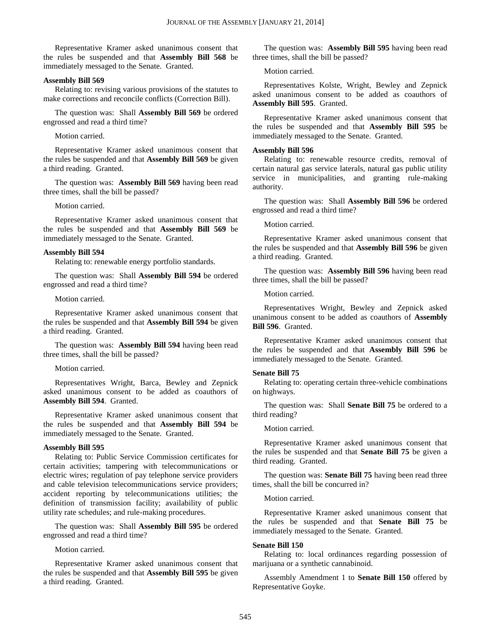Representative Kramer asked unanimous consent that the rules be suspended and that **Assembly Bill 568** be immediately messaged to the Senate. Granted.

#### **Assembly Bill 569**

Relating to: revising various provisions of the statutes to make corrections and reconcile conflicts (Correction Bill).

The question was: Shall **Assembly Bill 569** be ordered engrossed and read a third time?

Motion carried.

Representative Kramer asked unanimous consent that the rules be suspended and that **Assembly Bill 569** be given a third reading. Granted.

The question was: **Assembly Bill 569** having been read three times, shall the bill be passed?

Motion carried.

Representative Kramer asked unanimous consent that the rules be suspended and that **Assembly Bill 569** be immediately messaged to the Senate. Granted.

#### **Assembly Bill 594**

Relating to: renewable energy portfolio standards.

The question was: Shall **Assembly Bill 594** be ordered engrossed and read a third time?

#### Motion carried.

Representative Kramer asked unanimous consent that the rules be suspended and that **Assembly Bill 594** be given a third reading. Granted.

The question was: **Assembly Bill 594** having been read three times, shall the bill be passed?

#### Motion carried.

Representatives Wright, Barca, Bewley and Zepnick asked unanimous consent to be added as coauthors of **Assembly Bill 594**. Granted.

Representative Kramer asked unanimous consent that the rules be suspended and that **Assembly Bill 594** be immediately messaged to the Senate. Granted.

#### **Assembly Bill 595**

Relating to: Public Service Commission certificates for certain activities; tampering with telecommunications or electric wires; regulation of pay telephone service providers and cable television telecommunications service providers; accident reporting by telecommunications utilities; the definition of transmission facility; availability of public utility rate schedules; and rule-making procedures.

The question was: Shall **Assembly Bill 595** be ordered engrossed and read a third time?

Motion carried.

Representative Kramer asked unanimous consent that the rules be suspended and that **Assembly Bill 595** be given a third reading. Granted.

The question was: **Assembly Bill 595** having been read three times, shall the bill be passed?

Motion carried.

Representatives Kolste, Wright, Bewley and Zepnick asked unanimous consent to be added as coauthors of **Assembly Bill 595**. Granted.

Representative Kramer asked unanimous consent that the rules be suspended and that **Assembly Bill 595** be immediately messaged to the Senate. Granted.

#### **Assembly Bill 596**

Relating to: renewable resource credits, removal of certain natural gas service laterals, natural gas public utility service in municipalities, and granting rule-making authority.

The question was: Shall **Assembly Bill 596** be ordered engrossed and read a third time?

Motion carried.

Representative Kramer asked unanimous consent that the rules be suspended and that **Assembly Bill 596** be given a third reading. Granted.

The question was: **Assembly Bill 596** having been read three times, shall the bill be passed?

Motion carried.

Representatives Wright, Bewley and Zepnick asked unanimous consent to be added as coauthors of **Assembly Bill 596**. Granted.

Representative Kramer asked unanimous consent that the rules be suspended and that **Assembly Bill 596** be immediately messaged to the Senate. Granted.

#### **Senate Bill 75**

Relating to: operating certain three-vehicle combinations on highways.

The question was: Shall **Senate Bill 75** be ordered to a third reading?

Motion carried.

Representative Kramer asked unanimous consent that the rules be suspended and that **Senate Bill 75** be given a third reading. Granted.

The question was: **Senate Bill 75** having been read three times, shall the bill be concurred in?

Motion carried.

Representative Kramer asked unanimous consent that the rules be suspended and that **Senate Bill 75** be immediately messaged to the Senate. Granted.

#### **Senate Bill 150**

Relating to: local ordinances regarding possession of marijuana or a synthetic cannabinoid.

Assembly Amendment 1 to **Senate Bill 150** offered by Representative Goyke.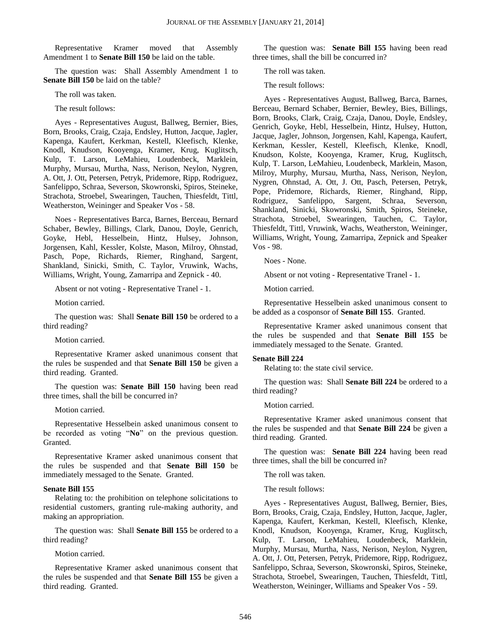Representative Kramer moved that Assembly Amendment 1 to **Senate Bill 150** be laid on the table.

The question was: Shall Assembly Amendment 1 to **Senate Bill 150** be laid on the table?

The roll was taken.

The result follows:

Ayes - Representatives August, Ballweg, Bernier, Bies, Born, Brooks, Craig, Czaja, Endsley, Hutton, Jacque, Jagler, Kapenga, Kaufert, Kerkman, Kestell, Kleefisch, Klenke, Knodl, Knudson, Kooyenga, Kramer, Krug, Kuglitsch, Kulp, T. Larson, LeMahieu, Loudenbeck, Marklein, Murphy, Mursau, Murtha, Nass, Nerison, Neylon, Nygren, A. Ott, J. Ott, Petersen, Petryk, Pridemore, Ripp, Rodriguez, Sanfelippo, Schraa, Severson, Skowronski, Spiros, Steineke, Strachota, Stroebel, Swearingen, Tauchen, Thiesfeldt, Tittl, Weatherston, Weininger and Speaker Vos - 58.

Noes - Representatives Barca, Barnes, Berceau, Bernard Schaber, Bewley, Billings, Clark, Danou, Doyle, Genrich, Goyke, Hebl, Hesselbein, Hintz, Hulsey, Johnson, Jorgensen, Kahl, Kessler, Kolste, Mason, Milroy, Ohnstad, Pasch, Pope, Richards, Riemer, Ringhand, Sargent, Shankland, Sinicki, Smith, C. Taylor, Vruwink, Wachs, Williams, Wright, Young, Zamarripa and Zepnick - 40.

Absent or not voting - Representative Tranel - 1.

Motion carried.

The question was: Shall **Senate Bill 150** be ordered to a third reading?

Motion carried.

Representative Kramer asked unanimous consent that the rules be suspended and that **Senate Bill 150** be given a third reading. Granted.

The question was: **Senate Bill 150** having been read three times, shall the bill be concurred in?

Motion carried.

Representative Hesselbein asked unanimous consent to be recorded as voting "**No**" on the previous question. Granted.

Representative Kramer asked unanimous consent that the rules be suspended and that **Senate Bill 150** be immediately messaged to the Senate. Granted.

#### **Senate Bill 155**

Relating to: the prohibition on telephone solicitations to residential customers, granting rule-making authority, and making an appropriation.

The question was: Shall **Senate Bill 155** be ordered to a third reading?

Motion carried.

Representative Kramer asked unanimous consent that the rules be suspended and that **Senate Bill 155** be given a third reading. Granted.

The question was: **Senate Bill 155** having been read three times, shall the bill be concurred in?

The roll was taken.

The result follows:

Ayes - Representatives August, Ballweg, Barca, Barnes, Berceau, Bernard Schaber, Bernier, Bewley, Bies, Billings, Born, Brooks, Clark, Craig, Czaja, Danou, Doyle, Endsley, Genrich, Goyke, Hebl, Hesselbein, Hintz, Hulsey, Hutton, Jacque, Jagler, Johnson, Jorgensen, Kahl, Kapenga, Kaufert, Kerkman, Kessler, Kestell, Kleefisch, Klenke, Knodl, Knudson, Kolste, Kooyenga, Kramer, Krug, Kuglitsch, Kulp, T. Larson, LeMahieu, Loudenbeck, Marklein, Mason, Milroy, Murphy, Mursau, Murtha, Nass, Nerison, Neylon, Nygren, Ohnstad, A. Ott, J. Ott, Pasch, Petersen, Petryk, Pope, Pridemore, Richards, Riemer, Ringhand, Ripp, Rodriguez, Sanfelippo, Sargent, Schraa, Severson, Shankland, Sinicki, Skowronski, Smith, Spiros, Steineke, Strachota, Stroebel, Swearingen, Tauchen, C. Taylor, Thiesfeldt, Tittl, Vruwink, Wachs, Weatherston, Weininger, Williams, Wright, Young, Zamarripa, Zepnick and Speaker Vos - 98.

Noes - None.

Absent or not voting - Representative Tranel - 1.

Motion carried.

Representative Hesselbein asked unanimous consent to be added as a cosponsor of **Senate Bill 155**. Granted.

Representative Kramer asked unanimous consent that the rules be suspended and that **Senate Bill 155** be immediately messaged to the Senate. Granted.

#### **Senate Bill 224**

Relating to: the state civil service.

The question was: Shall **Senate Bill 224** be ordered to a third reading?

Motion carried.

Representative Kramer asked unanimous consent that the rules be suspended and that **Senate Bill 224** be given a third reading. Granted.

The question was: **Senate Bill 224** having been read three times, shall the bill be concurred in?

The roll was taken.

The result follows:

Ayes - Representatives August, Ballweg, Bernier, Bies, Born, Brooks, Craig, Czaja, Endsley, Hutton, Jacque, Jagler, Kapenga, Kaufert, Kerkman, Kestell, Kleefisch, Klenke, Knodl, Knudson, Kooyenga, Kramer, Krug, Kuglitsch, Kulp, T. Larson, LeMahieu, Loudenbeck, Marklein, Murphy, Mursau, Murtha, Nass, Nerison, Neylon, Nygren, A. Ott, J. Ott, Petersen, Petryk, Pridemore, Ripp, Rodriguez, Sanfelippo, Schraa, Severson, Skowronski, Spiros, Steineke, Strachota, Stroebel, Swearingen, Tauchen, Thiesfeldt, Tittl, Weatherston, Weininger, Williams and Speaker Vos - 59.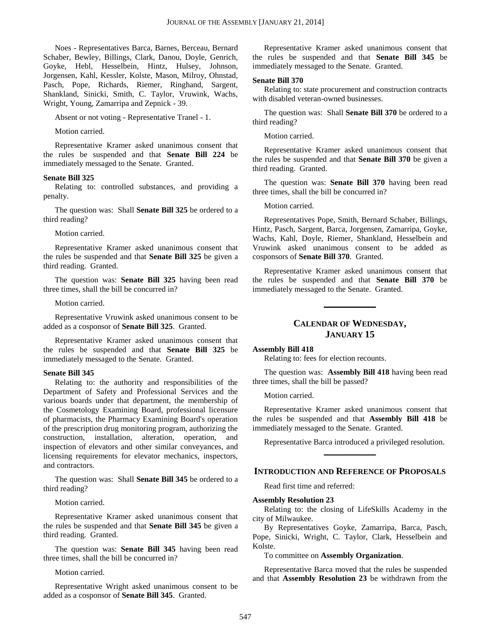Noes - Representatives Barca, Barnes, Berceau, Bernard Schaber, Bewley, Billings, Clark, Danou, Doyle, Genrich, Goyke, Hebl, Hesselbein, Hintz, Hulsey, Johnson, Jorgensen, Kahl, Kessler, Kolste, Mason, Milroy, Ohnstad, Pasch, Pope, Richards, Riemer, Ringhand, Sargent, Shankland, Sinicki, Smith, C. Taylor, Vruwink, Wachs, Wright, Young, Zamarripa and Zepnick - 39.

Absent or not voting - Representative Tranel - 1.

Motion carried.

Representative Kramer asked unanimous consent that the rules be suspended and that **Senate Bill 224** be immediately messaged to the Senate. Granted.

#### **Senate Bill 325**

Relating to: controlled substances, and providing a penalty.

The question was: Shall **Senate Bill 325** be ordered to a third reading?

#### Motion carried.

Representative Kramer asked unanimous consent that the rules be suspended and that **Senate Bill 325** be given a third reading. Granted.

The question was: **Senate Bill 325** having been read three times, shall the bill be concurred in?

#### Motion carried.

Representative Vruwink asked unanimous consent to be added as a cosponsor of **Senate Bill 325**. Granted.

Representative Kramer asked unanimous consent that the rules be suspended and that **Senate Bill 325** be immediately messaged to the Senate. Granted.

#### **Senate Bill 345**

Relating to: the authority and responsibilities of the Department of Safety and Professional Services and the various boards under that department, the membership of the Cosmetology Examining Board, professional licensure of pharmacists, the Pharmacy Examining Board's operation of the prescription drug monitoring program, authorizing the construction, installation, alteration, operation, and inspection of elevators and other similar conveyances, and licensing requirements for elevator mechanics, inspectors, and contractors.

The question was: Shall **Senate Bill 345** be ordered to a third reading?

Motion carried.

Representative Kramer asked unanimous consent that the rules be suspended and that **Senate Bill 345** be given a third reading. Granted.

The question was: **Senate Bill 345** having been read three times, shall the bill be concurred in?

Motion carried.

Representative Wright asked unanimous consent to be added as a cosponsor of **Senate Bill 345**. Granted.

Representative Kramer asked unanimous consent that the rules be suspended and that **Senate Bill 345** be immediately messaged to the Senate. Granted.

#### **Senate Bill 370**

Relating to: state procurement and construction contracts with disabled veteran-owned businesses.

The question was: Shall **Senate Bill 370** be ordered to a third reading?

Motion carried.

Representative Kramer asked unanimous consent that the rules be suspended and that **Senate Bill 370** be given a third reading. Granted.

The question was: **Senate Bill 370** having been read three times, shall the bill be concurred in?

Motion carried.

Representatives Pope, Smith, Bernard Schaber, Billings, Hintz, Pasch, Sargent, Barca, Jorgensen, Zamarripa, Goyke, Wachs, Kahl, Doyle, Riemer, Shankland, Hesselbein and Vruwink asked unanimous consent to be added as cosponsors of **Senate Bill 370**. Granted.

Representative Kramer asked unanimous consent that the rules be suspended and that **Senate Bill 370** be immediately messaged to the Senate. Granted.

#### **CALENDAR OF WEDNESDAY, JANUARY 15**

**\_\_\_\_\_\_\_\_\_\_\_\_\_**

#### **Assembly Bill 418**

Relating to: fees for election recounts.

The question was: **Assembly Bill 418** having been read three times, shall the bill be passed?

Motion carried.

Representative Kramer asked unanimous consent that the rules be suspended and that **Assembly Bill 418** be immediately messaged to the Senate. Granted.

Representative Barca introduced a privileged resolution. **\_\_\_\_\_\_\_\_\_\_\_\_\_**

#### **INTRODUCTION AND REFERENCE OF PROPOSALS**

Read first time and referred:

#### **Assembly Resolution 23**

Relating to: the closing of LifeSkills Academy in the city of Milwaukee.

By Representatives Goyke, Zamarripa, Barca, Pasch, Pope, Sinicki, Wright, C. Taylor, Clark, Hesselbein and Kolste.

To committee on **Assembly Organization**.

Representative Barca moved that the rules be suspended and that **Assembly Resolution 23** be withdrawn from the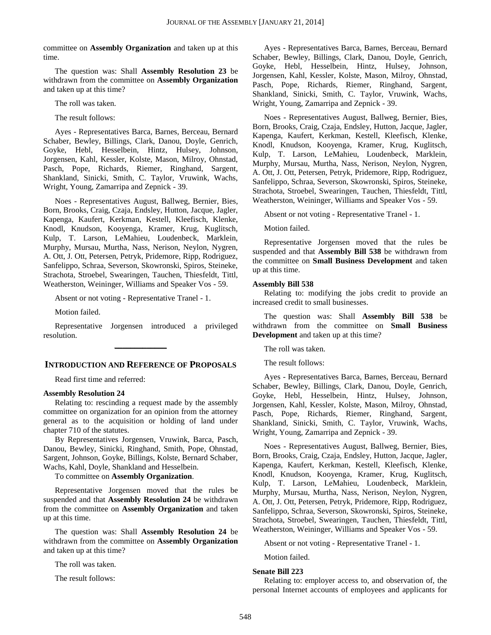committee on **Assembly Organization** and taken up at this time.

The question was: Shall **Assembly Resolution 23** be withdrawn from the committee on **Assembly Organization** and taken up at this time?

The roll was taken.

The result follows:

Ayes - Representatives Barca, Barnes, Berceau, Bernard Schaber, Bewley, Billings, Clark, Danou, Doyle, Genrich, Goyke, Hebl, Hesselbein, Hintz, Hulsey, Johnson, Jorgensen, Kahl, Kessler, Kolste, Mason, Milroy, Ohnstad, Pasch, Pope, Richards, Riemer, Ringhand, Sargent, Shankland, Sinicki, Smith, C. Taylor, Vruwink, Wachs, Wright, Young, Zamarripa and Zepnick - 39.

Noes - Representatives August, Ballweg, Bernier, Bies, Born, Brooks, Craig, Czaja, Endsley, Hutton, Jacque, Jagler, Kapenga, Kaufert, Kerkman, Kestell, Kleefisch, Klenke, Knodl, Knudson, Kooyenga, Kramer, Krug, Kuglitsch, Kulp, T. Larson, LeMahieu, Loudenbeck, Marklein, Murphy, Mursau, Murtha, Nass, Nerison, Neylon, Nygren, A. Ott, J. Ott, Petersen, Petryk, Pridemore, Ripp, Rodriguez, Sanfelippo, Schraa, Severson, Skowronski, Spiros, Steineke, Strachota, Stroebel, Swearingen, Tauchen, Thiesfeldt, Tittl, Weatherston, Weininger, Williams and Speaker Vos - 59.

Absent or not voting - Representative Tranel - 1.

Motion failed.

Representative Jorgensen introduced a privileged resolution. **\_\_\_\_\_\_\_\_\_\_\_\_\_**

#### **INTRODUCTION AND REFERENCE OF PROPOSALS**

Read first time and referred:

#### **Assembly Resolution 24**

Relating to: rescinding a request made by the assembly committee on organization for an opinion from the attorney general as to the acquisition or holding of land under chapter 710 of the statutes.

By Representatives Jorgensen, Vruwink, Barca, Pasch, Danou, Bewley, Sinicki, Ringhand, Smith, Pope, Ohnstad, Sargent, Johnson, Goyke, Billings, Kolste, Bernard Schaber, Wachs, Kahl, Doyle, Shankland and Hesselbein.

To committee on **Assembly Organization**.

Representative Jorgensen moved that the rules be suspended and that **Assembly Resolution 24** be withdrawn from the committee on **Assembly Organization** and taken up at this time.

The question was: Shall **Assembly Resolution 24** be withdrawn from the committee on **Assembly Organization** and taken up at this time?

The roll was taken.

The result follows:

Ayes - Representatives Barca, Barnes, Berceau, Bernard Schaber, Bewley, Billings, Clark, Danou, Doyle, Genrich, Goyke, Hebl, Hesselbein, Hintz, Hulsey, Johnson, Jorgensen, Kahl, Kessler, Kolste, Mason, Milroy, Ohnstad, Pasch, Pope, Richards, Riemer, Ringhand, Sargent, Shankland, Sinicki, Smith, C. Taylor, Vruwink, Wachs, Wright, Young, Zamarripa and Zepnick - 39.

Noes - Representatives August, Ballweg, Bernier, Bies, Born, Brooks, Craig, Czaja, Endsley, Hutton, Jacque, Jagler, Kapenga, Kaufert, Kerkman, Kestell, Kleefisch, Klenke, Knodl, Knudson, Kooyenga, Kramer, Krug, Kuglitsch, Kulp, T. Larson, LeMahieu, Loudenbeck, Marklein, Murphy, Mursau, Murtha, Nass, Nerison, Neylon, Nygren, A. Ott, J. Ott, Petersen, Petryk, Pridemore, Ripp, Rodriguez, Sanfelippo, Schraa, Severson, Skowronski, Spiros, Steineke, Strachota, Stroebel, Swearingen, Tauchen, Thiesfeldt, Tittl, Weatherston, Weininger, Williams and Speaker Vos - 59.

Absent or not voting - Representative Tranel - 1.

Motion failed.

Representative Jorgensen moved that the rules be suspended and that **Assembly Bill 538** be withdrawn from the committee on **Small Business Development** and taken up at this time.

#### **Assembly Bill 538**

Relating to: modifying the jobs credit to provide an increased credit to small businesses.

The question was: Shall **Assembly Bill 538** be withdrawn from the committee on **Small Business Development** and taken up at this time?

The roll was taken.

The result follows:

Ayes - Representatives Barca, Barnes, Berceau, Bernard Schaber, Bewley, Billings, Clark, Danou, Doyle, Genrich, Goyke, Hebl, Hesselbein, Hintz, Hulsey, Johnson, Jorgensen, Kahl, Kessler, Kolste, Mason, Milroy, Ohnstad, Pasch, Pope, Richards, Riemer, Ringhand, Sargent, Shankland, Sinicki, Smith, C. Taylor, Vruwink, Wachs, Wright, Young, Zamarripa and Zepnick - 39.

Noes - Representatives August, Ballweg, Bernier, Bies, Born, Brooks, Craig, Czaja, Endsley, Hutton, Jacque, Jagler, Kapenga, Kaufert, Kerkman, Kestell, Kleefisch, Klenke, Knodl, Knudson, Kooyenga, Kramer, Krug, Kuglitsch, Kulp, T. Larson, LeMahieu, Loudenbeck, Marklein, Murphy, Mursau, Murtha, Nass, Nerison, Neylon, Nygren, A. Ott, J. Ott, Petersen, Petryk, Pridemore, Ripp, Rodriguez, Sanfelippo, Schraa, Severson, Skowronski, Spiros, Steineke, Strachota, Stroebel, Swearingen, Tauchen, Thiesfeldt, Tittl, Weatherston, Weininger, Williams and Speaker Vos - 59.

Absent or not voting - Representative Tranel - 1.

Motion failed.

#### **Senate Bill 223**

Relating to: employer access to, and observation of, the personal Internet accounts of employees and applicants for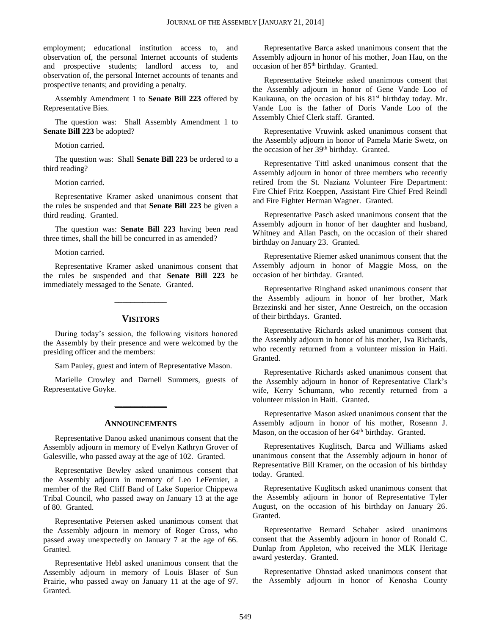employment; educational institution access to, and observation of, the personal Internet accounts of students and prospective students; landlord access to, and observation of, the personal Internet accounts of tenants and prospective tenants; and providing a penalty.

Assembly Amendment 1 to **Senate Bill 223** offered by Representative Bies.

The question was: Shall Assembly Amendment 1 to **Senate Bill 223** be adopted?

Motion carried.

The question was: Shall **Senate Bill 223** be ordered to a third reading?

Motion carried.

Representative Kramer asked unanimous consent that the rules be suspended and that **Senate Bill 223** be given a third reading. Granted.

The question was: **Senate Bill 223** having been read three times, shall the bill be concurred in as amended?

Motion carried.

Representative Kramer asked unanimous consent that the rules be suspended and that **Senate Bill 223** be immediately messaged to the Senate. Granted.

#### **VISITORS**

**\_\_\_\_\_\_\_\_\_\_\_\_\_**

During today's session, the following visitors honored the Assembly by their presence and were welcomed by the presiding officer and the members:

Sam Pauley, guest and intern of Representative Mason.

Marielle Crowley and Darnell Summers, guests of Representative Goyke.

#### **ANNOUNCEMENTS**

**\_\_\_\_\_\_\_\_\_\_\_\_\_**

Representative Danou asked unanimous consent that the Assembly adjourn in memory of Evelyn Kathryn Grover of Galesville, who passed away at the age of 102. Granted.

Representative Bewley asked unanimous consent that the Assembly adjourn in memory of Leo LeFernier, a member of the Red Cliff Band of Lake Superior Chippewa Tribal Council, who passed away on January 13 at the age of 80. Granted.

Representative Petersen asked unanimous consent that the Assembly adjourn in memory of Roger Cross, who passed away unexpectedly on January 7 at the age of 66. Granted.

Representative Hebl asked unanimous consent that the Assembly adjourn in memory of Louis Blaser of Sun Prairie, who passed away on January 11 at the age of 97. Granted.

Representative Barca asked unanimous consent that the Assembly adjourn in honor of his mother, Joan Hau, on the occasion of her 85<sup>th</sup> birthday. Granted.

Representative Steineke asked unanimous consent that the Assembly adjourn in honor of Gene Vande Loo of Kaukauna, on the occasion of his 81<sup>st</sup> birthday today. Mr. Vande Loo is the father of Doris Vande Loo of the Assembly Chief Clerk staff. Granted.

Representative Vruwink asked unanimous consent that the Assembly adjourn in honor of Pamela Marie Swetz, on the occasion of her 39<sup>th</sup> birthday. Granted.

Representative Tittl asked unanimous consent that the Assembly adjourn in honor of three members who recently retired from the St. Nazianz Volunteer Fire Department: Fire Chief Fritz Koeppen, Assistant Fire Chief Fred Reindl and Fire Fighter Herman Wagner. Granted.

Representative Pasch asked unanimous consent that the Assembly adjourn in honor of her daughter and husband, Whitney and Allan Pasch, on the occasion of their shared birthday on January 23. Granted.

Representative Riemer asked unanimous consent that the Assembly adjourn in honor of Maggie Moss, on the occasion of her birthday. Granted.

Representative Ringhand asked unanimous consent that the Assembly adjourn in honor of her brother, Mark Brzezinski and her sister, Anne Oestreich, on the occasion of their birthdays. Granted.

Representative Richards asked unanimous consent that the Assembly adjourn in honor of his mother, Iva Richards, who recently returned from a volunteer mission in Haiti. Granted.

Representative Richards asked unanimous consent that the Assembly adjourn in honor of Representative Clark's wife, Kerry Schumann, who recently returned from a volunteer mission in Haiti. Granted.

Representative Mason asked unanimous consent that the Assembly adjourn in honor of his mother, Roseann J. Mason, on the occasion of her 64<sup>th</sup> birthday. Granted.

Representatives Kuglitsch, Barca and Williams asked unanimous consent that the Assembly adjourn in honor of Representative Bill Kramer, on the occasion of his birthday today. Granted.

Representative Kuglitsch asked unanimous consent that the Assembly adjourn in honor of Representative Tyler August, on the occasion of his birthday on January 26. Granted.

Representative Bernard Schaber asked unanimous consent that the Assembly adjourn in honor of Ronald C. Dunlap from Appleton, who received the MLK Heritage award yesterday. Granted.

Representative Ohnstad asked unanimous consent that the Assembly adjourn in honor of Kenosha County